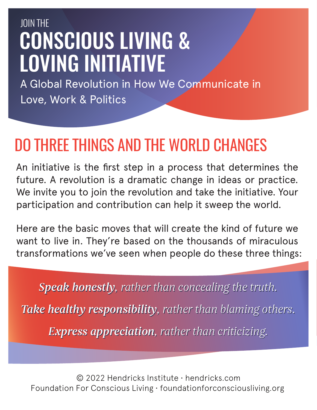## CONSCIOUS LIVING & LOVING INITIATIVE JOIN THE

A Global Revolution in How We Communicate in Love, Work & Politics

## DO THREE THINGS AND THE WORLD CHANGES

An initiative is the first step in a process that determines the future. A revolution is a dramatic change in ideas or practice. We invite you to join the revolution and take the initiative. Your participation and contribution can help it sweep the world.

Here are the basic moves that will create the kind of future we want to live in. They're based on the thousands of miraculous transformations we've seen when people do these three things:

*Speak honestly, rather than concealing the truth. Take healthy responsibility, rather than blaming others. Express appreciation, rather than criticizing.*

© 2022 Hendricks Institute • hendricks.com Foundation For Conscious Living • foundationforconsciousliving.org